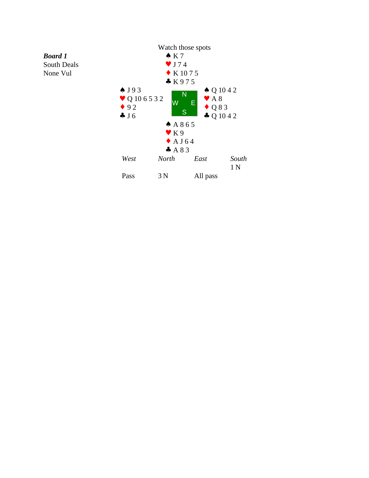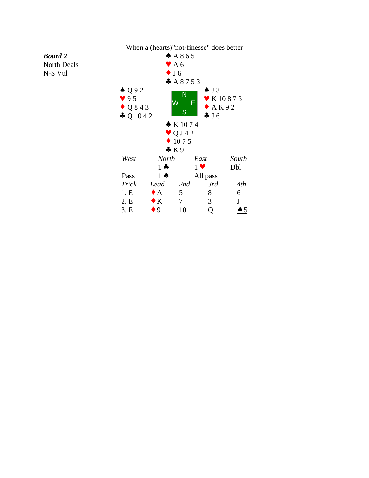## When a (hearts)"not-finesse" does better

*Board 2* North Deals

N-S Vul

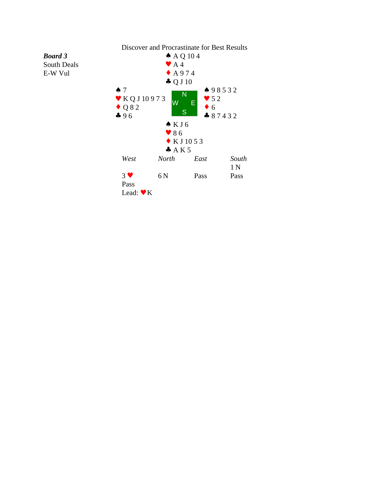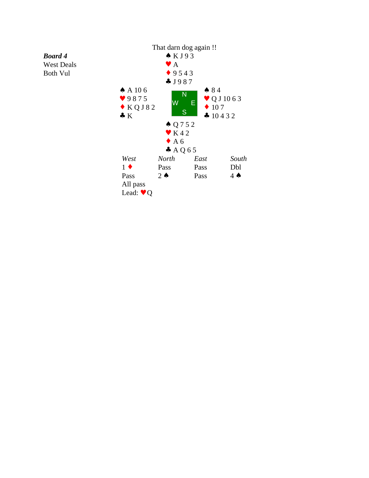

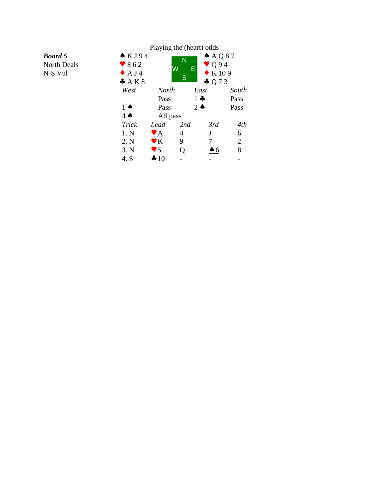|                                                 | Playing the (heart) odds                                        |                                                                                       |               |               |                |
|-------------------------------------------------|-----------------------------------------------------------------|---------------------------------------------------------------------------------------|---------------|---------------|----------------|
| <b>Board</b> 5<br><b>North Deals</b><br>N-S Vul | $\triangle$ KJ94<br>$\bullet$ 862<br>$\triangle$ A J 4<br>A K 8 | $A$ AQ87<br>N<br>$\bullet$ Q94<br>W<br>E<br>$\bullet$ K 109<br>S<br>$\clubsuit$ Q 7 3 |               |               |                |
|                                                 | West                                                            | <b>North</b>                                                                          | East          |               | South          |
|                                                 |                                                                 | Pass                                                                                  | $1 -$         |               | Pass           |
|                                                 | $1 \spadesuit$                                                  | Pass                                                                                  | $2 \triangle$ |               | Pass           |
|                                                 | $4 \spadesuit$                                                  | All pass                                                                              |               |               |                |
|                                                 | <b>Trick</b>                                                    | Lead                                                                                  | 2nd           | 3rd           | 4th            |
|                                                 | 1. N                                                            | $\blacktriangledown$ A                                                                | 4             | J             | 6              |
|                                                 | 2. N                                                            | $\underline{\mathbf{v}}$ K                                                            | 9             | 7             | $\overline{2}$ |
|                                                 | 3. N                                                            | $\blacktriangledown$ 5                                                                | Q             | $\clubsuit$ 6 | 8              |
|                                                 | 4. S                                                            | $\clubsuit 10$                                                                        |               |               |                |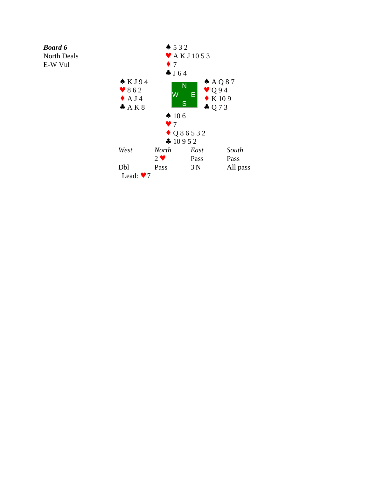## *Board 6*

North Deals

E-W Vul

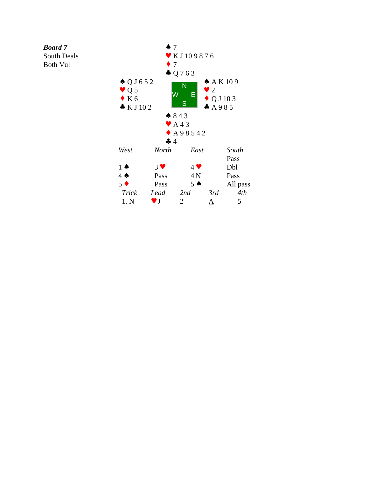*Board 7*

South Deals

Both Vul

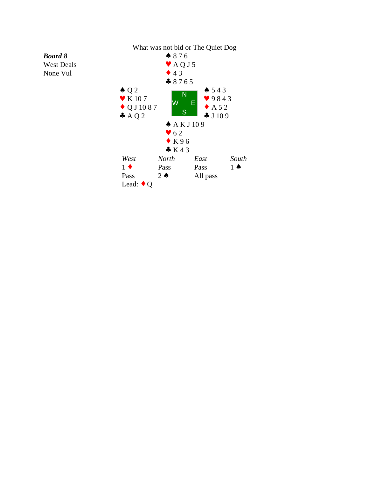

*Board 8* West Deals

None Vul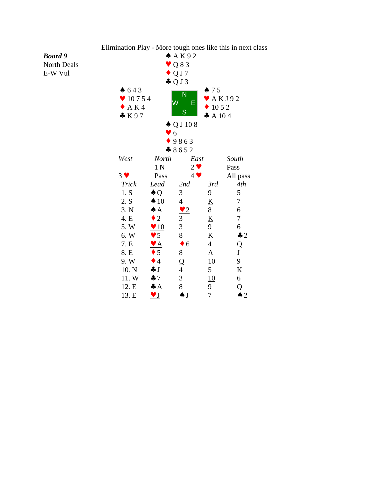

Elimination Play - More tough ones like this in next class

## *Board 9*

North Deals E-W Vul